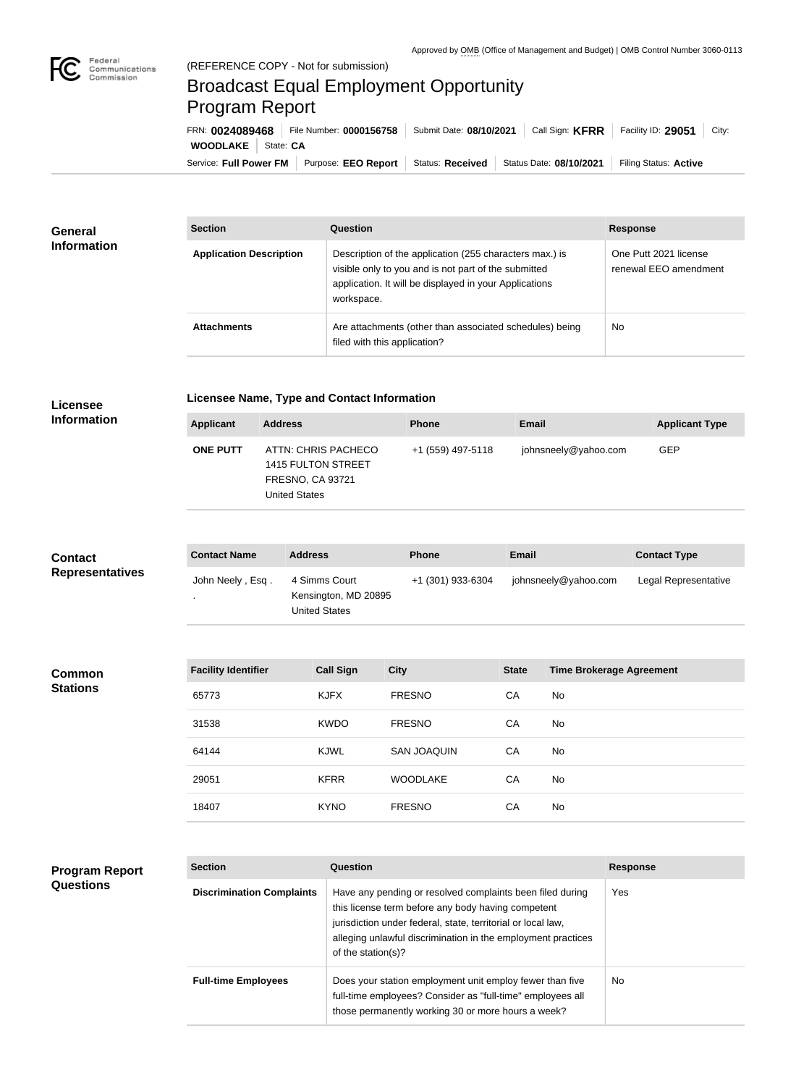

×

# Broadcast Equal Employment Opportunity Program Report

Service: Full Power FM Purpose: EEO Report | Status: Received | Status Date: 08/10/2021 | Filing Status: Active **WOODLAKE** | State: CA FRN: **0024089468** File Number: **0000156758** Submit Date: **08/10/2021** Call Sign: **KFRR** Facility ID: **29051** City:

| General<br><b>Information</b> | <b>Section</b>                 | Question                                                                                                                                                                                | <b>Response</b>                                |
|-------------------------------|--------------------------------|-----------------------------------------------------------------------------------------------------------------------------------------------------------------------------------------|------------------------------------------------|
|                               | <b>Application Description</b> | Description of the application (255 characters max.) is<br>visible only to you and is not part of the submitted<br>application. It will be displayed in your Applications<br>workspace. | One Putt 2021 license<br>renewal EEO amendment |
|                               | <b>Attachments</b>             | Are attachments (other than associated schedules) being<br>filed with this application?                                                                                                 | <b>No</b>                                      |

### **Licensee Information**

**Program Report** 

**Questions**

**Common Stations**

## **Licensee Name, Type and Contact Information**

| <b>Applicant</b> | <b>Address</b>                                                                               | <b>Phone</b>      | <b>Email</b>         | <b>Applicant Type</b> |
|------------------|----------------------------------------------------------------------------------------------|-------------------|----------------------|-----------------------|
| <b>ONE PUTT</b>  | ATTN: CHRIS PACHECO<br>1415 FULTON STREET<br><b>FRESNO, CA 93721</b><br><b>United States</b> | +1 (559) 497-5118 | johnsneely@yahoo.com | <b>GEP</b>            |
|                  |                                                                                              |                   |                      |                       |

| <b>Contact</b>         | <b>Contact Name</b> | <b>Address</b>                                         | <b>Phone</b>      | <b>Email</b>         | <b>Contact Type</b>  |
|------------------------|---------------------|--------------------------------------------------------|-------------------|----------------------|----------------------|
| <b>Representatives</b> | John Neely, Esq.    | 4 Simms Court<br>Kensington, MD 20895<br>United States | +1 (301) 933-6304 | johnsneely@yahoo.com | Legal Representative |

| <b>Facility Identifier</b> | <b>Call Sign</b> | <b>City</b>        | <b>State</b> | <b>Time Brokerage Agreement</b> |
|----------------------------|------------------|--------------------|--------------|---------------------------------|
| 65773                      | <b>KJFX</b>      | <b>FRESNO</b>      | CA           | No                              |
| 31538                      | <b>KWDO</b>      | <b>FRESNO</b>      | CA           | No                              |
| 64144                      | <b>KJWL</b>      | <b>SAN JOAQUIN</b> | CA           | No                              |
| 29051                      | <b>KFRR</b>      | <b>WOODLAKE</b>    | CA           | No                              |
| 18407                      | <b>KYNO</b>      | <b>FRESNO</b>      | CA           | No                              |

| <b>Section</b>                   | Question                                                                                                                                                                                                                                                              | <b>Response</b> |
|----------------------------------|-----------------------------------------------------------------------------------------------------------------------------------------------------------------------------------------------------------------------------------------------------------------------|-----------------|
| <b>Discrimination Complaints</b> | Have any pending or resolved complaints been filed during<br>this license term before any body having competent<br>jurisdiction under federal, state, territorial or local law,<br>alleging unlawful discrimination in the employment practices<br>of the station(s)? | Yes             |
| <b>Full-time Employees</b>       | Does your station employment unit employ fewer than five<br>full-time employees? Consider as "full-time" employees all<br>those permanently working 30 or more hours a week?                                                                                          | <b>No</b>       |